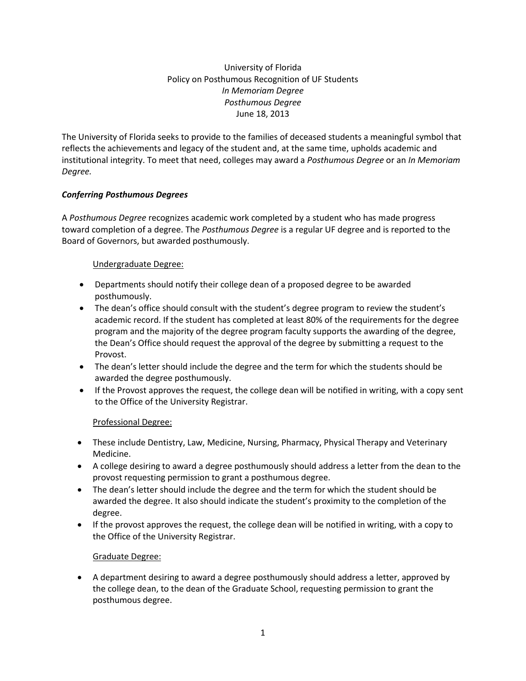University of Florida Policy on Posthumous Recognition of UF Students *In Memoriam Degree Posthumous Degree* June 18, 2013

The University of Florida seeks to provide to the families of deceased students a meaningful symbol that reflects the achievements and legacy of the student and, at the same time, upholds academic and institutional integrity. To meet that need, colleges may award a *Posthumous Degree* or an *In Memoriam Degree.*

# *Conferring Posthumous Degrees*

A *Posthumous Degree* recognizes academic work completed by a student who has made progress toward completion of a degree. The *Posthumous Degree* is a regular UF degree and is reported to the Board of Governors, but awarded posthumously.

#### Undergraduate Degree:

- Departments should notify their college dean of a proposed degree to be awarded posthumously.
- The dean's office should consult with the student's degree program to review the student's academic record. If the student has completed at least 80% of the requirements for the degree program and the majority of the degree program faculty supports the awarding of the degree, the Dean's Office should request the approval of the degree by submitting a request to the Provost.
- The dean's letter should include the degree and the term for which the students should be awarded the degree posthumously.
- If the Provost approves the request, the college dean will be notified in writing, with a copy sent to the Office of the University Registrar.

# Professional Degree:

- These include Dentistry, Law, Medicine, Nursing, Pharmacy, Physical Therapy and Veterinary Medicine.
- A college desiring to award a degree posthumously should address a letter from the dean to the provost requesting permission to grant a posthumous degree.
- The dean's letter should include the degree and the term for which the student should be awarded the degree. It also should indicate the student's proximity to the completion of the degree.
- If the provost approves the request, the college dean will be notified in writing, with a copy to the Office of the University Registrar.

# Graduate Degree:

 A department desiring to award a degree posthumously should address a letter, approved by the college dean, to the dean of the Graduate School, requesting permission to grant the posthumous degree.